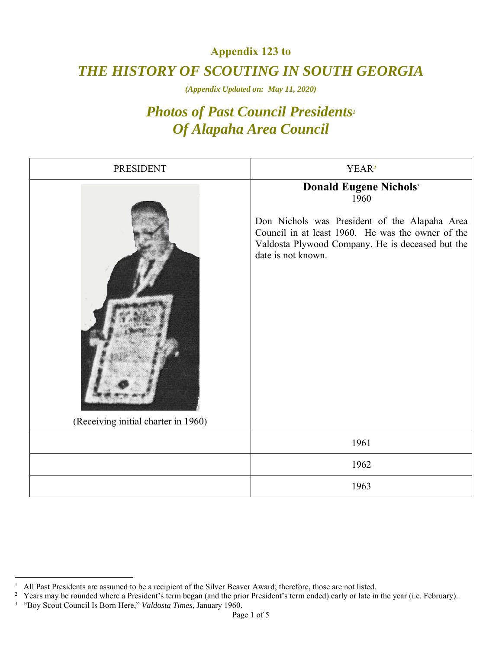## **Appendix 123 to**  *THE HISTORY OF SCOUTING IN SOUTH GEORGIA*

*(Appendix Updated on: May 11, 2020)* 

## *Photos of Past Council Presidents1 Of Alapaha Area Council*

| <b>PRESIDENT</b>                    | YEAR <sup>2</sup>                                                                                                                                                                                                                 |
|-------------------------------------|-----------------------------------------------------------------------------------------------------------------------------------------------------------------------------------------------------------------------------------|
| (Receiving initial charter in 1960) | <b>Donald Eugene Nichols</b> <sup>3</sup><br>1960<br>Don Nichols was President of the Alapaha Area<br>Council in at least 1960. He was the owner of the<br>Valdosta Plywood Company. He is deceased but the<br>date is not known. |
|                                     | 1961                                                                                                                                                                                                                              |
|                                     | 1962                                                                                                                                                                                                                              |
|                                     | 1963                                                                                                                                                                                                                              |

 $\overline{a}$ 

<sup>1</sup> All Past Presidents are assumed to be a recipient of the Silver Beaver Award; therefore, those are not listed. 2

<sup>&</sup>lt;sup>2</sup> Years may be rounded where a President's term began (and the prior President's term ended) early or late in the year (i.e. February).

<sup>3</sup> "Boy Scout Council Is Born Here," *Valdosta Times*, January 1960.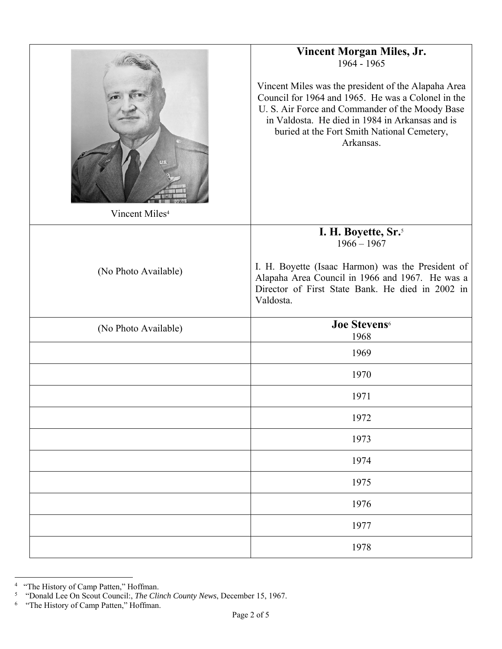| Vincent Miles <sup>4</sup> | <b>Vincent Morgan Miles, Jr.</b><br>1964 - 1965<br>Vincent Miles was the president of the Alapaha Area<br>Council for 1964 and 1965. He was a Colonel in the<br>U. S. Air Force and Commander of the Moody Base<br>in Valdosta. He died in 1984 in Arkansas and is<br>buried at the Fort Smith National Cemetery,<br>Arkansas. |
|----------------------------|--------------------------------------------------------------------------------------------------------------------------------------------------------------------------------------------------------------------------------------------------------------------------------------------------------------------------------|
|                            | I. H. Boyette, Sr. <sup>5</sup><br>$1966 - 1967$                                                                                                                                                                                                                                                                               |
| (No Photo Available)       | I. H. Boyette (Isaac Harmon) was the President of<br>Alapaha Area Council in 1966 and 1967. He was a<br>Director of First State Bank. He died in 2002 in<br>Valdosta.                                                                                                                                                          |
| (No Photo Available)       | <b>Joe Stevens</b> <sup>6</sup><br>1968                                                                                                                                                                                                                                                                                        |
|                            | 1969                                                                                                                                                                                                                                                                                                                           |
|                            | 1970                                                                                                                                                                                                                                                                                                                           |
|                            | 1971                                                                                                                                                                                                                                                                                                                           |
|                            | 1972                                                                                                                                                                                                                                                                                                                           |
|                            | 1973                                                                                                                                                                                                                                                                                                                           |
|                            | 1974                                                                                                                                                                                                                                                                                                                           |
|                            | 1975                                                                                                                                                                                                                                                                                                                           |
|                            | 1976                                                                                                                                                                                                                                                                                                                           |
|                            | 1977                                                                                                                                                                                                                                                                                                                           |
|                            | 1978                                                                                                                                                                                                                                                                                                                           |

<sup>&</sup>lt;sup>4</sup> "The History of Camp Patten," Hoffman.<br>
<sup>5</sup> "Donald Lee On Scout Council:, *The Clinch County News*, December 15, 1967.<br>
<sup>6</sup> "The History of Camp Patten," Hoffman.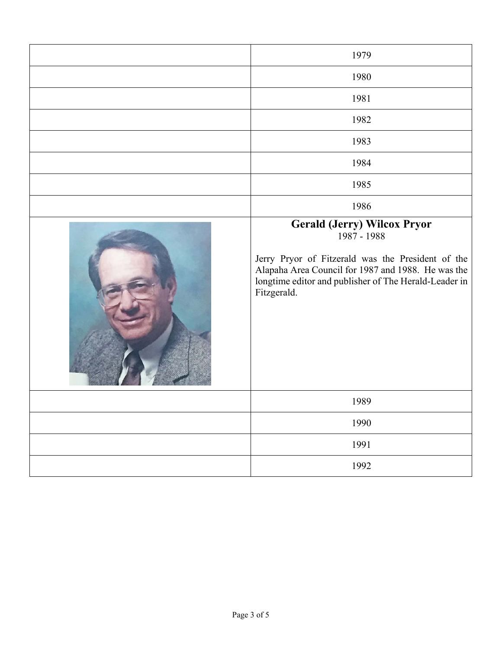| 1979                                                                                                                                                                                                                                 |
|--------------------------------------------------------------------------------------------------------------------------------------------------------------------------------------------------------------------------------------|
| 1980                                                                                                                                                                                                                                 |
| 1981                                                                                                                                                                                                                                 |
| 1982                                                                                                                                                                                                                                 |
| 1983                                                                                                                                                                                                                                 |
| 1984                                                                                                                                                                                                                                 |
| 1985                                                                                                                                                                                                                                 |
| 1986                                                                                                                                                                                                                                 |
| <b>Gerald (Jerry) Wilcox Pryor</b><br>1987 - 1988<br>Jerry Pryor of Fitzerald was the President of the<br>Alapaha Area Council for 1987 and 1988. He was the<br>longtime editor and publisher of The Herald-Leader in<br>Fitzgerald. |
| 1989                                                                                                                                                                                                                                 |
| 1990                                                                                                                                                                                                                                 |
| 1991                                                                                                                                                                                                                                 |
| 1992                                                                                                                                                                                                                                 |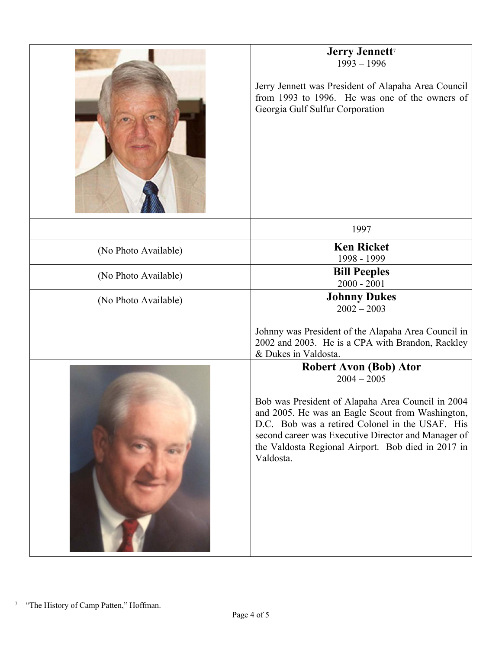|                      | Jerry Jennett <sup>7</sup><br>$1993 - 1996$<br>Jerry Jennett was President of Alapaha Area Council<br>from 1993 to 1996. He was one of the owners of<br>Georgia Gulf Sulfur Corporation                                                                                                                                              |
|----------------------|--------------------------------------------------------------------------------------------------------------------------------------------------------------------------------------------------------------------------------------------------------------------------------------------------------------------------------------|
|                      | 1997                                                                                                                                                                                                                                                                                                                                 |
| (No Photo Available) | <b>Ken Ricket</b><br>1998 - 1999                                                                                                                                                                                                                                                                                                     |
| (No Photo Available) | <b>Bill Peeples</b><br>$2000 - 2001$                                                                                                                                                                                                                                                                                                 |
| (No Photo Available) | <b>Johnny Dukes</b><br>$2002 - 2003$                                                                                                                                                                                                                                                                                                 |
|                      | Johnny was President of the Alapaha Area Council in<br>2002 and 2003. He is a CPA with Brandon, Rackley<br>& Dukes in Valdosta.                                                                                                                                                                                                      |
|                      | <b>Robert Avon (Bob) Ator</b><br>$2004 - 2005$<br>Bob was President of Alapaha Area Council in 2004<br>and 2005. He was an Eagle Scout from Washington,<br>D.C. Bob was a retired Colonel in the USAF. His<br>second career was Executive Director and Manager of<br>the Valdosta Regional Airport. Bob died in 2017 in<br>Valdosta. |
|                      |                                                                                                                                                                                                                                                                                                                                      |

 7 "The History of Camp Patten," Hoffman.